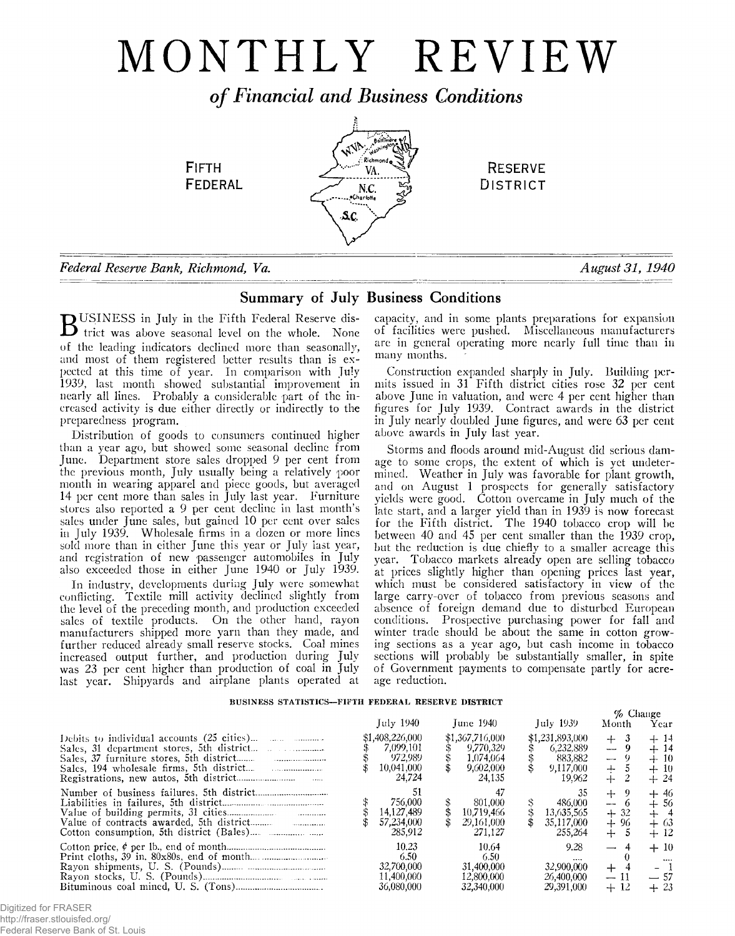# MONTHLY REVIEW

*o f Financial and Business Conditions*



**FEDERAL** 



# Summary of July Business Conditions

 $\mathbf D$ BUSINESS in July in the Fifth Federal Reserve district was above seasonal level 011 the whole. None of the leading indicators declined more than seasonally, and most of them registered better results than is expected at this time of year. In comparison with July 1939, last month showed substantial improvement in nearly all lines. Probably a considerable part of the increased activity is due either directly or indirectly to the preparedness program.

Distribution of goods to consumers continued higher than a year ago, but showed some seasonal decline from June. Department store sales dropped 9 per cent from the previous month, July usually being a relatively poor month in wearing apparel and piece goods, but averaged 14 per cent more than sales in July last year. Furniture stores also reported a 9 per cent decline in last month's sales under June sales, but gained 10 per cent over sales in July 1939. Wholesale firms in a dozen or more lines sold more than in either June this year or July last year, and registration of new passenger automobiles in July also exceeded those in either June 1940 or July 1939.

In industry, developments during July were somewhat conflicting. Textile mill activity declined slightly from the level of the preceding month, and production exceeded sales of textile products. On the other hand, rayon manufacturers shipped more yarn than they made, and further reduced already small reserve stocks. Coal mines increased output further, and production during July was 23 per cent higher than production of coal in July last year. Shipyards and airplane plants operated at

capacity, and in some plants preparations for expansion of facilities were pushed. Miscellaneous manufacturers are in general operating more nearly full time than in many months.

**RESERVE DISTRICT** 

Construction expanded sharply in July. Building permits issued in 31 Fifth district cities rose 32 per cent above June in valuation, and were 4 per cent higher than figures for July 1939. Contract awards in the district in July nearly doubled June figures, and were 63 per cent above awards in July last year.

Storms and floods around mid-August did serious damage to some crops, the extent of which is yet undetermined. Weather in July was favorable for plant growth, and on August 1 prospects for generally satisfactory yields were good. Cotton overcame in July much of the late start, and a larger yield than in 1939 is now forecast for the Fifth district. The 1940 tobacco crop will be between 40 and 45 per cent smaller than the 1939 crop, but the reduction is due chiefly to a smaller acreage this year. Tobacco markets already open are selling tobacco at prices slightly higher than opening prices last year, which must be considered satisfactory in view of the large carry-over of tobacco from previous seasons and absence of foreign demand due to disturbed European conditions. Prospective purchasing power for fall and winter trade should be about the same in cotton growing sections as a year ago, but cash income in tobacco sections will probably be substantially smaller, in spite of Government payments to compensate partly for acreage reduction.

 $\mathcal{Q}_a$  Change

# **BUSINESS STATISTICS— FIFTH FEDERAL RESERVE DISTRICT**

|                                                                                                  |                                                                 |                                                                  |                                                                | $\overline{\phantom{a}}$                            |                                            |
|--------------------------------------------------------------------------------------------------|-----------------------------------------------------------------|------------------------------------------------------------------|----------------------------------------------------------------|-----------------------------------------------------|--------------------------------------------|
|                                                                                                  | July 1940                                                       | June 1940                                                        | July 1939                                                      | Month                                               | Year                                       |
| Debits to individual accounts $(25 \text{ cities})$<br>Sales, 31 department stores, 5th district | \$1,408,226,000<br>7,099,101<br>972.989<br>10,041,000<br>24,724 | \$1,367,716,000<br>9.770.329<br>1.074.064<br>9,602,000<br>24.135 | \$1,231,893,000<br>6.232.889<br>883.882<br>9,117,000<br>19.962 | 3<br>$+$<br>$-9$<br>$-9$<br>$+$<br>$+$              | $+14$<br>$+14$<br>$+10$<br>$+10$<br>$+24$  |
|                                                                                                  | 756.000<br>14,127,489<br>57,234,000<br>285,912                  | 801.000<br>10.719.466<br>29,161,000<br>271.127                   | 35<br>486.000<br>13,635,565<br>35,117,000<br>255,264           | $+$<br>-9<br>$\frac{1}{2}$<br>$+32$<br>$+96$<br>$+$ | $+46$<br>$+56$<br>$+$ 4<br>$+63$<br>+ 12   |
|                                                                                                  | 10.23<br>6.50<br>32,700,000<br>11,400,000<br>36,080,000         | 10.64<br>6.50<br>31,400,000<br>12,800,000<br>32,340,000          | 9.28<br>$\cdots$<br>32,900,000<br>26,400,000<br>29.391.000     | $\overline{\phantom{0}}$<br>$+$<br>$-11$<br>$+12$   | $+10$<br>$\cdots$<br>- 1<br>$-57$<br>$+23$ |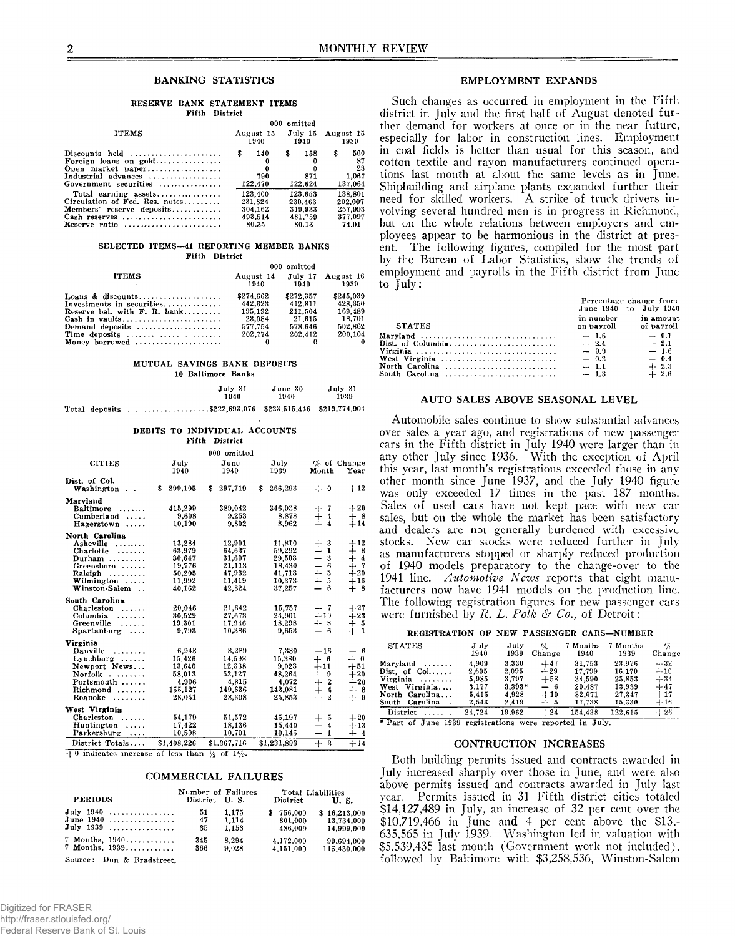#### **RESERVE BANK STATEMENT ITEMS Fifth District**

|                                                         |   |                   |   | 000 omitted     |           |         |
|---------------------------------------------------------|---|-------------------|---|-----------------|-----------|---------|
| <b>ITEMS</b>                                            |   | August 15<br>1940 |   | July 15<br>1940 | August 15 | 1939    |
| Discounts held $\ldots, \ldots, \ldots, \ldots, \ldots$ | s | 140               | s | 158             | \$        | 560     |
| Foreign loans on gold                                   |   | 0                 |   |                 |           | 87      |
| Open market paper                                       |   |                   |   |                 |           | 23      |
|                                                         |   | 790               |   | 871             |           | 1.067   |
| Government securities                                   |   | 122,470           |   | 122.624         |           | 137.064 |
|                                                         |   | 123,400           |   | 123,653         |           | 138.801 |
| Circulation of Fed. Res. notes                          |   | 231.824           |   | 230.463         |           | 202.007 |
| Members' reserve deposits                               |   | 304.162           |   | 319.933         |           | 257.993 |
| Cash reserves                                           |   | 493.514           |   | 481.759         |           | 377.097 |
| Reserve ratio                                           |   | 80.35             |   | 80.18           |           | 74.01   |

#### SELECTED ITEMS--41 REPORTING MEMBER BANKS **Fifth District**

|                                 |                   | 000 omitted |                           |
|---------------------------------|-------------------|-------------|---------------------------|
| <b>ITEMS</b>                    | August 14<br>1940 | 1940        | July 17 August 16<br>1939 |
|                                 | \$274.662         | \$272.357   | \$245,039                 |
| Investments in securities       | 442.623           | 412.811     | 428,350                   |
| Reserve bal. with $F$ . R. bank | 195.192           | 211.504     | 169.489                   |
|                                 | 23,084            | 21.615      | 18.701                    |
| Demand deposits                 | 577.754           | 578.646     | 502.862                   |
| Time deposits                   | 202.774           | 202.412     | 200.104                   |
| Money borrowed                  |                   |             |                           |

#### **MUTUAL SAVINGS BANK DEPOSITS 10 Baltimore Banks**

|  | July 31<br>1940                                          | June 30<br>1940 | July 31<br>1939 |
|--|----------------------------------------------------------|-----------------|-----------------|
|  | Total deposits \$222,693,076 \$223,515,446 \$219,774,904 |                 |                 |

|  |                | DEBITS TO INDIVIDUAL ACCOUNTS |
|--|----------------|-------------------------------|
|  | Fifth District |                               |

|                                                                                                                                                                  |                                                                    | 000 omitted                                                        |                                                                    |                                                                                                                                                                                                                                 |
|------------------------------------------------------------------------------------------------------------------------------------------------------------------|--------------------------------------------------------------------|--------------------------------------------------------------------|--------------------------------------------------------------------|---------------------------------------------------------------------------------------------------------------------------------------------------------------------------------------------------------------------------------|
| <b>CITIES</b>                                                                                                                                                    | July<br>1940                                                       | June<br>1940                                                       | July<br>1939                                                       | $\%$ of Change<br>Month<br>Year                                                                                                                                                                                                 |
| Dist. of Col.<br>Washington<br>$\sim$ $\sim$                                                                                                                     | \$<br>299,105                                                      | S<br>297,719                                                       | 266,293<br>S                                                       | $+12$<br>$+ 0$                                                                                                                                                                                                                  |
| Maryland<br><b>Baltimore</b><br>Cumberland<br>.<br>Hagerstown<br>$\cdots$                                                                                        | 415,299<br>9.608<br>10.190                                         | 389,042<br>9,253<br>9.802                                          | 346,938<br>8,878<br>8.962                                          | $+20$<br>-7<br>┽<br>$\pm$<br>$\boldsymbol{4}$<br>$+8$<br>$\overline{\bf{4}}$<br>$+14$                                                                                                                                           |
| North Carolina<br>Asheville<br>.<br>Charlotte<br>.<br>Durham $\ldots$<br>Greensboro<br>Raleigh<br>.<br>$Williamington $<br>Winston-Salem<br>$\ddot{\phantom{a}}$ | 13,284<br>63,979<br>30.647<br>19.776<br>50,205<br>11,992<br>40.162 | 12.901<br>64.637<br>31,607<br>21.113<br>47,932<br>11,419<br>42.824 | 11.810<br>59,292<br>29,503<br>18,430<br>41,713<br>10,373<br>37.257 | $+12$<br>$+$<br>-3<br>$\dotplus$<br>$\overline{8}$<br>1<br>—<br>$\equiv$<br>$\boldsymbol{3}$<br>$\overline{4}$<br>$^{+}$<br>$+ 7$<br>6<br>$\overline{\phantom{0}}$<br>$\ddagger$<br>$\bf 5$<br>$+20$<br>5<br>$+16$<br>6<br>$+8$ |
| South Carolina<br>Charleston<br>Columbia<br>.<br>Greenville<br>.<br>Spartanburg<br>$\cdots$                                                                      | 20,046<br>30.529<br>19,301<br>9.793                                | 21.642<br>27,673<br>17.946<br>10,386                               | 15,757<br>24.901<br>18,298<br>9.653                                | $-7$<br>$+27$<br>$+10$<br>$+23$<br>$+8$<br>$+5$<br>1<br>— 6<br>$+$                                                                                                                                                              |
| Virginia<br>Danville<br>.<br>$Lynchburg$<br>Newport News<br>Norfolk<br>.<br>Portsmouth<br>Richmond<br>Roanoke                                                    | 6.948<br>15.426<br>13,640<br>58.013<br>4.906<br>155,127<br>28.051  | 8,289<br>14.598<br>12.338<br>53.127<br>4,815<br>149,636<br>28.608  | 7.380<br>15.380<br>9.023<br>48.264<br>4.072<br>143,081<br>25,853   | $-16$<br>- 6<br>$\overline{\phantom{m}}$<br>$+$ 6<br>$+$ 0<br>$+11$<br>$+51$<br>$+20$<br>$+9$<br>$\boldsymbol{2}$<br>$+20$<br>⊹<br>$\dot{+}$<br>4<br>$+8$<br>$+$<br>$\mathbf{2}$<br>9<br>$\overline{\phantom{0}}$               |
| West Virginia<br>Charleston<br>Huntington<br>.<br>Parkersburg<br>.<br>District Totals                                                                            | 54,179<br>17,422<br>10,598                                         | 51,572<br>18.136<br>10,701<br>\$1,367,716                          | 45,197<br>15,440<br>10.145<br>\$1,231,893                          | $^{+}$<br>- 5<br>$+20$<br>$\overline{4}$<br>$+13$<br>$\mathbf{1}$<br>$+4$<br>$+14$                                                                                                                                              |
|                                                                                                                                                                  | \$1,408,226                                                        |                                                                    |                                                                    | $+3$                                                                                                                                                                                                                            |

 $+0$  indicates increase of less than  $\frac{1}{2}$  of  $1\%$ .

#### COMMERCIAL FAILURES

| <b>PERIODS</b>                                                        | Number of Failures<br>District U.S. |                         | Total Liabilities<br>$\bf District$ | U.S.                                     |
|-----------------------------------------------------------------------|-------------------------------------|-------------------------|-------------------------------------|------------------------------------------|
| <b>July 1940</b><br>June $1940$<br>$July 1939  \dots $                | 51<br>47<br>35                      | 1.175<br>1.114<br>1.153 | 756.000<br>s.<br>801.000<br>486.000 | \$16,213,000<br>13.734.000<br>14.999.000 |
| $7$ Months, $1940$<br>$7$ Months, $1939$<br>Source: Dun & Bradstreet. | 345<br>366                          | 8,294<br>9.028          | 4,172,000<br>4,151,000              | 99.694.000<br>115,430,000                |

#### BANKING STATISTICS EMPLOYMENT EXPANDS

Such changes as occurred in employment in the Fifth district in July and the first half of August denoted further demand for workers at once or in the near future, especially for labor in construction lines. Employment in coal fields is better than usual for this season, and cotton textile and rayon manufacturers continued operations last month at about the same levels as in June. Shipbuilding and airplane plants expanded further their need for skilled workers. A strike of truck drivers involving several hundred men is in progress in Richmond, but on the whole relations between employers and employees appear to be harmonious in the district at present. The following figures, compiled for the most part by the Bureau of Labor Statistics, show the trends of employment and payrolls in the Fifth district from June to July:

|                                                                           | Percentage change from<br>June 1940 to July 1940 |            |
|---------------------------------------------------------------------------|--------------------------------------------------|------------|
| <b>STATES</b>                                                             | in number<br>on payroll of payroll               | in amount  |
| Maryland $\ldots \ldots \ldots \ldots \ldots \ldots \ldots \ldots \ldots$ | $+1.6$                                           | $\sim$ 0.1 |
|                                                                           | $-2.4$                                           | $-2.1$     |
|                                                                           | $-0.9$                                           | $-1.6$     |
| West Virginia                                                             | $-0.2$                                           | $-0.4$     |
| North Carolina                                                            | $+1.1$                                           | $-1 - 2.3$ |
|                                                                           | $+1.3$                                           | $+2.6$     |

# AUTO SALES ABOVE SEASONAL LEVEL

Automobile sales continue to show substantial advances over sales a year ago, and registrations of new passenger cars in the Fifth district in July 1940 were larger than in any other July since 1936. With the exception of April this year, last month's registrations exceeded those in any other month since June 1937, and the July 1940 figure was only exceeded 17 times in the past 187 months. Sales of used cars have not kept pace with new car sales, but on the whole the market has been satisfactory and dealers are not generally burdened with excessive stocks. New car stocks were reduced further in July as manufacturers stopped or sharply reduced production of 1940 models preparatory to the change-over to the 1941 line. *Automotive News* reports that eight manufacturers now have 1941 models on the production line. The following registration figures for new passenger cars were furnished by *R. L. Polk & Co.,* of Detroit :

#### **REGISTRATION OF NEW PASSENGER CARS—NUMBER**

| <b>STATES</b>            | July<br>1940 | July<br>1939 | $\mathscr{A}_{\Omega}$<br>Change | 7 Months<br>1940 | 7 Months<br>1939 | Ye.<br>Change |
|--------------------------|--------------|--------------|----------------------------------|------------------|------------------|---------------|
| $Maryland \ldots$        | 4.909        | 3,330        | $+47$                            | 31.753           | 23.976           | $-1-32$       |
| $Dist. of Col. \ldots$ . | 2.695        | 2.095        | $+29$                            | 17.799           | 16.170           | $+10$         |
| Virginia<br>. <i>.</i> . | 5.985        | 3.797        | $+58$                            | 34.590           | 25,853           | $+34$         |
| West Virginia            | 3.177        | $3,393*$     | $-6$                             | 20.487           | 13,939           | $+47$         |
| North Carolina           | 5.415        | 4.928        | $+10$                            | 32,071           | 27.347           | $+17$         |
| South Carolina           | 2.543        | 2.419        | $+5$                             | 17.738           | 15,330           | $-1.16$       |
| <b>District</b><br>.     | 24.724       | 19.962       | $+24$                            | 154.438          | 122.615          | $+26$         |

\* Part of June 1939 registrations were reported in July.

### CONTRUCTION INCREASES

Both building permits issued and contracts awarded in July increased sharply over those in June, and were also above permits issued and contracts awarded in July last year. Permits issued in 31 Fifth district cities totaled \$14,127,489 in July, an increase of 32 per cent over the \$10,719,466 in June and 4 per cent above the \$13,- 635,565 in July 1939. Washington led in valuation with \$5,539,435 last month (Government work not included), followed by Baltimore with \$3,258,536, Winston-Salem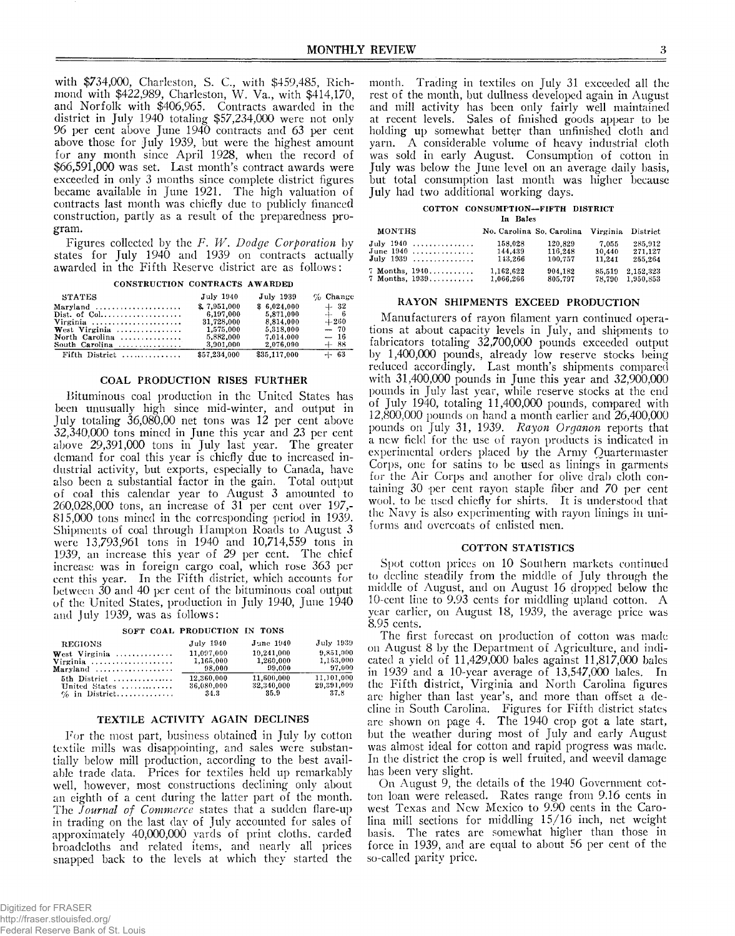with \$734,000, Charleston, S. C., with \$459,485, Richmond with \$422,989, Charleston, W. Va., with \$414,170, and Norfolk with \$406,965. Contracts awarded in the district in July 1940 totaling \$57,234,000 were not only 96 per cent above June 1940 contracts and 63 per cent above those for July 1939, but were the highest amount for any month since April 1928, when the record of \$66,591,000 was set. Last month's contract awards were exceeded in only 3 months since complete district figures became available in June 1921. The high valuation of contracts last month was chiefly due to publicly financed construction, partly as a result of the preparedness program.

Figures collected by the *F. W . Dodge Corporation* by states for July 1940 and 1939 on contracts actually awarded in the Fifth Reserve district are as follows:

| CONSTRUCTION CONTRACTS AWARDED |  |
|--------------------------------|--|
|                                |  |

| <b>STATES</b>  | July 1940    | July 1939    | $\%$ Change |
|----------------|--------------|--------------|-------------|
| Maryland       | \$7.951.000  | \$6.024.000  | $+32$       |
|                | 6,197,000    | 5.871.000    | $+ 6$       |
| Virginia       | 31,728,000   | 8.814,000    | $+260$      |
| West Virginia  | 1.575.000    | 5.318.000    | $-70$       |
| North Carolina | 5,882,000    | 7.014.000    | $-16$       |
| South Carolina | 3,901,000    | 2,076,000    | $+88$       |
| Fifth District | \$57,234,000 | \$35,117,000 | $+ 63$      |

### COAL PRODUCTION RISES FURTHER

Bituminous coal production in the United States has been unusually high since mid-winter, and output in July totaling 36,080,00 net tons was 12 per cent above 32.340.000 tons mined in June this year and 23 per cent above 29,391,000 tons in July last year. The greater demand for coal this year is chiefly due to increased industrial activity, but exports, especially to Canada, have also been a substantial factor in the gain. Total output of coal this calendar year to August 3 amounted to 260.028.000 tons, an increase of 31 per cent over 197,- 815.000 tons mined in the corresponding period in 1939. Shipments of coal through Hampton Roads to August 3 were 13,793,961 tons in 1940 and 10,714,559 tons in 1939, an increase this year of 29 per cent. The chief increase was in foreign cargo coal, which rose 363 per cent this year. In the Fifth district, which accounts for between 30 and 40 per cent of the bituminous coal output of the United States, production in July 1940, June 1940 and July 1939, was as follows:

| SOFT COAL PRODUCTION IN TONS |  |  |
|------------------------------|--|--|
|------------------------------|--|--|

| <b>REGIONS</b>                         | July 1940  | June 1940  | July 1939  |
|----------------------------------------|------------|------------|------------|
| West Virginia                          | 11,097,000 | 10.241.000 | 9.851,000  |
| Virginia                               | 1,165,000  | 1,260,000  | 1,153,000  |
| $Marvland \ldots \ldots \ldots \ldots$ | 98,000     | 99.000     | 97.000     |
| 5th District                           | 12,360,000 | 11.600.000 | 11,101.000 |
| United States                          | 36,080,000 | 32,340,000 | 29,391,009 |
| $\%$ in District                       | - 34.3     | - 35.9     | -37.8      |

# TEXTILE ACTIVITY AGAIN DECLINES

For the most part, business obtained in July by cotton textile mills was disappointing, and sales were substantially below mill production, according to the best available trade data. Prices for textiles held up remarkably well, however, most constructions declining only about an eighth of a cent during the latter part of the month. The *Journal of Commerce* states that a sudden flare-up in trading on the last day of July accounted for sales of approximately 40,000,000 yards of print cloths, carded broadcloths and related items, and nearly all prices snapped back to the levels at which they started the

month. Trading in textiles on July 31 exceeded all the rest of the month, but dullness developed again in August and mill activity has been only fairly well maintained at recent levels. Sales of finished goods appear to be holding up somewhat better than unfinished cloth and yarn. A considerable volume of heavy industrial cloth was sold in early August. Consumption of cotton in July was below the June level on an average daily basis, but total consumption last month was higher because July had two additional working days.

# **COTTON CONSUMPTION— FIFTH DISTRICT**

**In Bales**

| MONTHS             |           | No. Carolina So. Carolina Virginia District |        |           |
|--------------------|-----------|---------------------------------------------|--------|-----------|
| July 1940          | 158.028   | 120.829                                     | 7.055  | 285,912   |
| June $1940$ ,      | 144,439   | 116.248                                     | 10,440 | 271.127   |
| July $1939$        | 143.266   | 100.757                                     | 11,241 | 255.264   |
| $7$ Months, $1940$ | 1,162,622 | 904.182                                     | 85,519 | 2.152.323 |
| $7$ Months, $1939$ | 1.066.266 | 805,797                                     | 78.790 | 1,950.853 |

# RAYON SHIPMENTS EXCEED PRODUCTION

Manufacturers of rayon filament yarn continued operations at about capacity levels in July, and shipments to fabricators totaling 32,700,000 pounds exceeded output by 1,400,000 pounds, already low reserve stocks being reduced accordingly. Last month's shipments compared with  $31,400,000$  pounds in June this year and  $32,900,000$ pounds in July last year, while reserve stocks at the end of July 1940, totaling 11,400,000 pounds, compared with 12,800,000 pounds on hand a month earlier and 26,400,000 pounds on July 31, 1939. *Rayon Organon* reports that a new field for the use of rayon products is indicated in experimental orders placed by the Army Quartermaster Corps, one for satins to be used as linings in garments for the Air Corps and another for olive drab cloth containing 30 per cent rayon staple fiber and 70 per cent wool, to be used chiefly for shirts. It is understood that the Navy is also experimenting with rayon linings in uniforms and overcoats of enlisted men.

### COTTON STATISTICS

Spot cotton prices on 10 Southern markets continued to dccline steadily from the middle of July through the middle of August, and on August 16 dropped below the 10-cent line to 9.93 cents for middling upland cotton. A year earlier, on August 18, 1939, the average price was 8.95 cents.

The first forecast on production of cotton was made on August 8 by the Department of Agriculture, and indicated a yield of 11,429,000 bales against 11,817,000 bales in 1939 and a 10-year average of 13,547,000 bales. In the Fifth district, Virginia and North Carolina figures are higher than last year's, and more than offset a decline in South Carolina. Figures for Fifth district states are shown on page 4. The 1940 crop got a late start, but the weather during most of July and early August was almost ideal for cotton and rapid progress was made. In the district the crop is well fruited, and weevil damage has been very slight.

On August 9, the details of the 1940 Government cotton loan were released. Rates range from 9.16 cents in west Texas and New Mexico to 9.90 cents in the Carolina mill sections for middling 15/16 inch, net weight basis. The rates are somewhat higher than those in force in 1939, and are equal to about 56 per cent of the so-called parity price.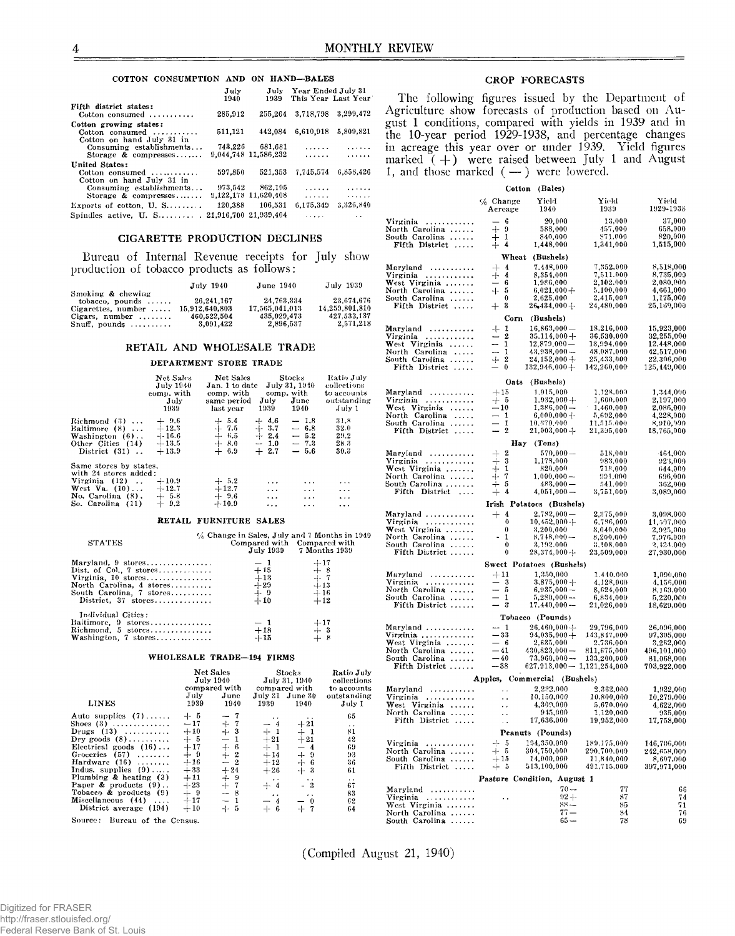#### **COTTON CONSUMPTION AND ON HAND— BALES**

|                                           | July<br>1940          | July<br>1939         | Year Ended July 31                 | This Year Last Year  |
|-------------------------------------------|-----------------------|----------------------|------------------------------------|----------------------|
| Fifth district states:                    |                       |                      |                                    | 3.299.472            |
| Cotton consumed $\ldots$                  | 285.912               | 255,264              | 3.718.798                          |                      |
| Cotton growing states:                    |                       |                      |                                    |                      |
| Cotton consumed                           | 511,121               | 442.084              | 6,610,918                          | 5.809.821            |
| Cotton on hand July 31 in                 |                       |                      |                                    |                      |
| Consuming establishments                  |                       | 743.226 681.681      | .                                  | 1.1.1.1.1            |
| Storage & compresses                      |                       | 9,044,748 11,586,232 | .                                  | .                    |
| United States:                            |                       |                      |                                    |                      |
| Cotton consumed $\ldots \ldots \ldots$    | 597.850               | 521.353              | 7.745,574                          | 6.858.426            |
| Cotton on hand July 31 in                 |                       |                      |                                    |                      |
| Consuming establishments                  |                       | 973.542 862.105      | .                                  | 1.1.1.1.1            |
| Storage & compresses                      |                       | 9,122,178 11,620,408 | .                                  | .                    |
| Exports of cotton, $U, S, \ldots, \ldots$ | 120,388               | 106.531              | 6.175.349                          | 3.326.840            |
| Spindles active, $U. S. \ldots \ldots$ .  | 21,916,700 21,939,404 |                      | $\sim$ $\sim$ $\sim$ $\sim$ $\sim$ | $\ddot{\phantom{0}}$ |

# CIGARETTE PRODUCTION DECLINES

Bureau of Internal Revenue receipts for July show production of tobacco products as follows:

|                             | July 1940      | June 1940      | July 1939      |
|-----------------------------|----------------|----------------|----------------|
| Smoking & chewing           |                |                |                |
| tobacco, pounds $\ldots$    | 26.241.167     | 24.763.334     | 23.674.676     |
| Cigarettes, number $\ldots$ | 15.912.640.803 | 17.565.041.013 | 14.259.801.810 |
| Cigars, number $\dots\dots$ | 460.522.504    | 435,029,473    | 427.533.137    |
| $Snuff$ , pounds            | 3.091.422      | 2.896.537      | 2,571,218      |

#### RETAIL AND WHOLESALE TRADE

# **DEPARTMENT STORE TRADE**

|                                                                                                           | Net Sales<br><b>July 1940</b><br>comp. with<br>July<br>1939 | Net Sales<br>Jan. 1 to date July 31, $1940$<br>comp. with comp. with<br>same period July June<br>last year | 1939 —                                                                 | Stocks -<br>1940 | Ratio July<br>collections<br>to accounts<br>outstanding<br>July 1 |
|-----------------------------------------------------------------------------------------------------------|-------------------------------------------------------------|------------------------------------------------------------------------------------------------------------|------------------------------------------------------------------------|------------------|-------------------------------------------------------------------|
| $Richard(3) \ldots$<br>Baltimore $(8) \ldots$<br>Washington (6)<br>Other Cities (14)<br>District $(31)$ . | $+ 9.6$<br>$+12.3$<br>$-1.16.6$<br>$+13.5$<br>$+13.9$       | $\begin{array}{r} + & 5.4 \ + & 7.5 \ + & 6.5 \end{array}$<br>$+8.0$<br>$+ 6.9$                            | $+4.6$<br>$+3.7 - 6.8$<br>$\div$ 2.4 $-$ 5.2<br>$-1.0 - 7.3$<br>$+2.7$ | $-1.8$<br>$-5.6$ | 31.8<br>32.0<br>29.2<br>28.3<br>30.3                              |
| Same stores by states.<br>with 24 stores added:                                                           |                                                             |                                                                                                            |                                                                        |                  |                                                                   |
| Virginia $(12)$ .                                                                                         | $+10.9$                                                     | $+5.2$                                                                                                     | $\cdots$                                                               | $\ddotsc$        | $\cdots$                                                          |
| West Va. $(10) \ldots +12.7$                                                                              |                                                             | $+12.7$                                                                                                    | $\cdots$                                                               | $\cdots$         | $\cdots$                                                          |
| No. Carolina $(8)$ . $+ 5.8$                                                                              |                                                             | $+ 9.6$                                                                                                    | $\cdots$                                                               | $\cdots$         | $\ddots$                                                          |
| So. Carolina $(11) + 9.2$                                                                                 |                                                             | $+10.9$                                                                                                    | $\cdots$                                                               | $\cdots$         | $\cdots$                                                          |
|                                                                                                           |                                                             | RETAIL FURNITURE SALES                                                                                     |                                                                        |                  |                                                                   |
| <b>STATES</b>                                                                                             |                                                             | $\%$ Change in Sales, July and 7 Months in 1949                                                            |                                                                        |                  | Compared with Compared with                                       |

| Maryland, 9 stores<br>$-1$<br>$+17$<br>$+8$<br>$+15$<br>$Dist. of Col. 7 stores.$<br>$-1 - 7$<br>$+13$<br>Virginia. $10$ stores<br>North Carolina, 4 stores<br>$+29$<br>$+13$<br>$+ 9$<br>$-1 - 16$<br>South Carolina, 7 stores<br>$-1-10$<br>$+12$<br>$Distribt, 37 stores \ldots$<br>Individual Cities:<br>Baltimore,9 stores<br>$+17$<br>$-1$<br>$\begin{array}{c} +3 \\ +8 \end{array}$<br>Richmond,5 stores………………<br>$^{+18}_{+15}$ |                      | July 1939 7 Months 1939 |  |
|------------------------------------------------------------------------------------------------------------------------------------------------------------------------------------------------------------------------------------------------------------------------------------------------------------------------------------------------------------------------------------------------------------------------------------------|----------------------|-------------------------|--|
|                                                                                                                                                                                                                                                                                                                                                                                                                                          |                      |                         |  |
|                                                                                                                                                                                                                                                                                                                                                                                                                                          |                      |                         |  |
|                                                                                                                                                                                                                                                                                                                                                                                                                                          |                      |                         |  |
|                                                                                                                                                                                                                                                                                                                                                                                                                                          |                      |                         |  |
|                                                                                                                                                                                                                                                                                                                                                                                                                                          |                      |                         |  |
|                                                                                                                                                                                                                                                                                                                                                                                                                                          |                      |                         |  |
|                                                                                                                                                                                                                                                                                                                                                                                                                                          |                      |                         |  |
|                                                                                                                                                                                                                                                                                                                                                                                                                                          |                      |                         |  |
|                                                                                                                                                                                                                                                                                                                                                                                                                                          |                      |                         |  |
|                                                                                                                                                                                                                                                                                                                                                                                                                                          | Washington, 7 stores |                         |  |

#### **WHOLESALE TRADE— 194 FIRMS**

| LINES<br>1939<br>1940<br>1939<br>1940<br>$+ 5$<br>Auto supplies $(7)$<br>$-7$<br>$\cdot$ .<br>$\ddot{\phantom{1}}$<br>$+7$<br>$-17$<br>$+21$<br>Shoes (3)<br>$-4$<br>$+3$<br>$+1$<br>$+10$<br>$+1$<br>$Drugs (13) \ldots \ldots$<br>$+5$<br>$-1$<br>$+21$<br>Dry goods $(8)$<br>$+21$<br>$+ 6$<br>$+17$<br>$+1$<br>Electrical goods $(16) \ldots$<br>$-4$<br>$+2$<br>$+9$<br>$+14$<br>$+9$<br>Groceries $(57)$                                                                 | Ratio July<br>collections<br>to accounts<br>outstanding<br>July 1                                       |
|--------------------------------------------------------------------------------------------------------------------------------------------------------------------------------------------------------------------------------------------------------------------------------------------------------------------------------------------------------------------------------------------------------------------------------------------------------------------------------|---------------------------------------------------------------------------------------------------------|
| $+16$<br>Hardware $(16)$<br>$-2$<br>$+ 6$<br>$+12$<br>Indus, supplies $(9)$<br>$+33$<br>$+24$<br>$+26$<br>$+3$<br>Plumbing & heating $(3)$<br>$+11$<br>$+9$<br>$\ddot{\phantom{a}}$<br>$\ddot{\phantom{0}}$<br>Paper & products $(9)$<br>$+23$<br>$+7$<br>$+4$<br>$-3$<br>Tobacco & products $(9)$<br>$-8$<br>$+9$<br>$\sim$ $\sim$<br>$\ddot{\phantom{0}}$<br>Miscellaneous (44)<br>$+17$<br>$-1$<br>$-4$<br>$-0$<br>$+ 6$<br>District average (194)<br>$+7$<br>$+10$<br>$+5$ | 65<br>$\ddot{\phantom{0}}$<br>81<br>42<br>69<br>93<br>36<br>61<br>$\sim$ $\sim$<br>67<br>83<br>62<br>64 |

**Source : Bureau of the Census.**

# CROP FORECASTS

The following figures issued by the Department of Agriculture show forecasts of production based on August 1 conditions, compared with yields in 1939 and in the 10-year period 1929-1938, and percentage changes in acreage this year over or under 1939. Yield figures marked  $(+)$  were raised between July 1 and August 1, and those marked  $(-)$  were lowered.

|                                                                                                         | Cotton                    | (Bales)                          |                                       |                          |  |  |
|---------------------------------------------------------------------------------------------------------|---------------------------|----------------------------------|---------------------------------------|--------------------------|--|--|
|                                                                                                         | $\%$ Change<br>Acreage    | Yield<br>1940                    | Yield<br>1939                         | Yield<br>1929-1938       |  |  |
| Virginia<br>.                                                                                           | - 6                       | 20,000                           | 13,000                                | 37,000                   |  |  |
| North Carolina                                                                                          | $+9$                      | 588,000                          | 457,000                               | 658,000                  |  |  |
| South Carolina<br>Fifth District                                                                        | 1<br>$+ 4$                | 840,000<br>1,448,000             | 871,000<br>1,341,000                  | 820,000<br>1,515,000     |  |  |
|                                                                                                         |                           |                                  |                                       |                          |  |  |
|                                                                                                         | Wheat                     | (Bushels)                        |                                       |                          |  |  |
| Maryland                                                                                                | $+ 4$                     | 7,448,000                        | 7,352,000                             | 8,518,000                |  |  |
| Virginia<br>West Virginia                                                                               | $+ 4$<br>— 6              | 8,354,000<br>1,986,000           | 7,511.000<br>2,102.000                | 8,735,000<br>2,080,000   |  |  |
| North Carolina                                                                                          | $+5$                      | $6,021,000+$                     | 5,100,000                             | 4,661,000                |  |  |
| South Carolina                                                                                          | $\bf{0}$                  | 2,625,000                        | 2,415,000                             | 1,175,000                |  |  |
| Fifth District                                                                                          | $+$ 3<br>Corn             | $26,434,000+$<br>(Bushels)       | 24,480,000                            | 25,169,000               |  |  |
| Maryland<br>.                                                                                           | $+1$                      | $16,863,000 -$                   | 18,216,000                            | 15,923,000               |  |  |
| Virginia<br>.                                                                                           | $-2$                      | $35.114,000 +$                   | 36,530,000                            | 32,255,000               |  |  |
| West Virginia                                                                                           | $-1$                      | $12,879,000-$                    | 13,994,000                            | 12.448,000               |  |  |
| North Carolina<br>South Carolina                                                                        | -<br>-1<br>$+$ 2          | $43,938,000-$<br>$24,152,000 +$  | 48,087,000<br>25,433,000              | 42,517,000<br>22,306,000 |  |  |
| Fifth District                                                                                          | - 0                       | $132,946,000+$                   | 142,260,000                           | 125,449,000              |  |  |
|                                                                                                         | Oats                      | (Bushels)                        |                                       |                          |  |  |
| Maryland                                                                                                | $+15$                     | 1,015,000                        | 1,128,000                             | 1,344,000                |  |  |
| Virginia                                                                                                | $+5$                      | $1,932,000 +$                    | 1,600,000                             | 2,197,000                |  |  |
| West Virginia<br>North Carolina                                                                         | $\frac{-10}{-1}$          | $1,386,000 -$<br>$6,000,000 +$   | 1,460,000<br>5,692,000                | 2,086,000<br>4,228,000   |  |  |
| South Carolina                                                                                          | -1                        | 10,670,000                       | 11,515.000                            | 8,910,900                |  |  |
| Fifth District                                                                                          | $-2$                      | $21,003,000 +$                   | 21,335,000                            | 18,765,000               |  |  |
|                                                                                                         | <b>Hay</b>                | (Tons)                           |                                       |                          |  |  |
| Maryland                                                                                                | $\boldsymbol{2}$<br>$\pm$ | $570,000-$                       | 518,000                               | 464,000                  |  |  |
| Virginia<br>.                                                                                           | $+$ 3                     | 1,178,000                        | 983,000                               | 923,000                  |  |  |
| $West \; Virginia \; \ldots \ldots$                                                                     | $+$<br>1<br>7             | 820,000                          | 718,000                               | 644,000                  |  |  |
| North Carolina<br>South Carolina                                                                        | $^{+}$<br>-5              | $1,000,000 -$<br>483,000 —       | 991,000<br>541,000                    | 696,000<br>362,000       |  |  |
| Fifth District                                                                                          | $^{+}$<br>4               | $4,051,000-$                     | 3,751,000                             | 3,089,000                |  |  |
|                                                                                                         |                           | Irish Potatoes (Bushels)         |                                       |                          |  |  |
| Maryland                                                                                                | $+$ 4                     | $2,782,000-$                     | 2,375,000                             | 3,098,000                |  |  |
| Virginia<br>.                                                                                           | 0                         | $10,452,000 +$                   | 6,786,000                             | 11,597,000               |  |  |
| West Virginia<br>North Carolina                                                                         | 0<br>1<br>۰               | 3,200,000                        | 3,040,000                             | 2,925,000                |  |  |
| South Carolina                                                                                          | 0                         | 8,748,000 —<br>3,192.000         | 8,200,000<br>3,108,000                | 7,976.000<br>2,424.000   |  |  |
| Fifth District                                                                                          | 0                         | $28,374,000 \div$                | $23,\!509,\!000$                      | 27,930,000               |  |  |
|                                                                                                         |                           | Sweet Potatoes (Bushels)         |                                       |                          |  |  |
| Maryland<br>.<br>Virginia                                                                               | $+11$<br>$-3$             | 1,350,000<br>$3,875,000 +$       | 1,440,000<br>4,128,000                | 1,090,000<br>4,156,000   |  |  |
| North Carolina                                                                                          | $-5$                      | $6,935,000 -$                    | 8,624,000                             | 8,163,000                |  |  |
| South Carolina                                                                                          | 1                         | $5,280,000-$                     | 6,834,000                             | 5,220,000                |  |  |
| Fifth District                                                                                          | $-3$                      | $17,440,000 -$                   | 21,026,000                            | 18,629,000               |  |  |
|                                                                                                         |                           | Tobacco (Pounds)                 |                                       |                          |  |  |
| Maryland<br>Virginia                                                                                    | $-1$<br>$-33$             | $26,460,000 +$<br>$94,035,000 +$ | 29,796,000<br>143,847,000             | 26,096,000<br>97,395,000 |  |  |
| $West \; Virginia \; \ldots \ldots$                                                                     | $-6$                      | 2,635,000                        | 2,736,000                             | 3,262,000                |  |  |
| North Carolina                                                                                          | $-41$                     | $430,823,000-$                   | $811,\allowbreak 675,\allowbreak 000$ | 496,101,000              |  |  |
| South Carolina                                                                                          | $-40$                     | $73,960,000 -$                   | 133,200,000                           | 81,068,000               |  |  |
| $-38$<br>Fifth District<br>$627,913,000 - 1,121,254,000$<br>703.922.000<br>Apples, Commercial (Bushels) |                           |                                  |                                       |                          |  |  |
| Maryland<br>.                                                                                           |                           | 2,222,000                        | 2,362,000                             | 1,922,000                |  |  |
| Virginia                                                                                                | . .                       | 10,150,000                       | 10,800,000                            | 10,279,000               |  |  |
| West Virginia                                                                                           | . .                       | 4,309,000                        | 5,670,000                             | 4,622,000                |  |  |
| North Carolina                                                                                          | ٠.                        | 945,000                          | 1,120,000                             | 935,000                  |  |  |
| Fifth District                                                                                          |                           | 17.636.000                       | 19,952,000                            | 17,758,000               |  |  |
|                                                                                                         |                           | Peanuts (Pounds)                 |                                       |                          |  |  |
| Virginia<br>.                                                                                           | 4.<br>-5<br>$+ 5$         | 194,350,000                      | 189,175,000                           | 146,706,000              |  |  |
| North Carolina<br>South Carolina                                                                        | $+15$                     | 304,750,000<br>14,000,000        | 290,700,000<br>11,840,000             | 242,658,000<br>8,607,000 |  |  |
| Fiith District                                                                                          | + 5                       | 513,100,000                      | 491,715,000                           | 397,971,000              |  |  |
|                                                                                                         |                           | Pasture Condition, August 1      |                                       |                          |  |  |
| Maryland<br>.                                                                                           |                           | $70 -$                           | 77                                    | 66                       |  |  |
| Virginia<br>.                                                                                           | . .                       | $92 +$                           | 87                                    | 74                       |  |  |
| West Virginia                                                                                           |                           | $88 -$                           | 85                                    | 71                       |  |  |
| North Carolina                                                                                          |                           | $77 -$                           | 84                                    | 76                       |  |  |
| South Carolina                                                                                          |                           | $65-$                            | 78                                    | 69                       |  |  |

(Compiled August 21, 1940)